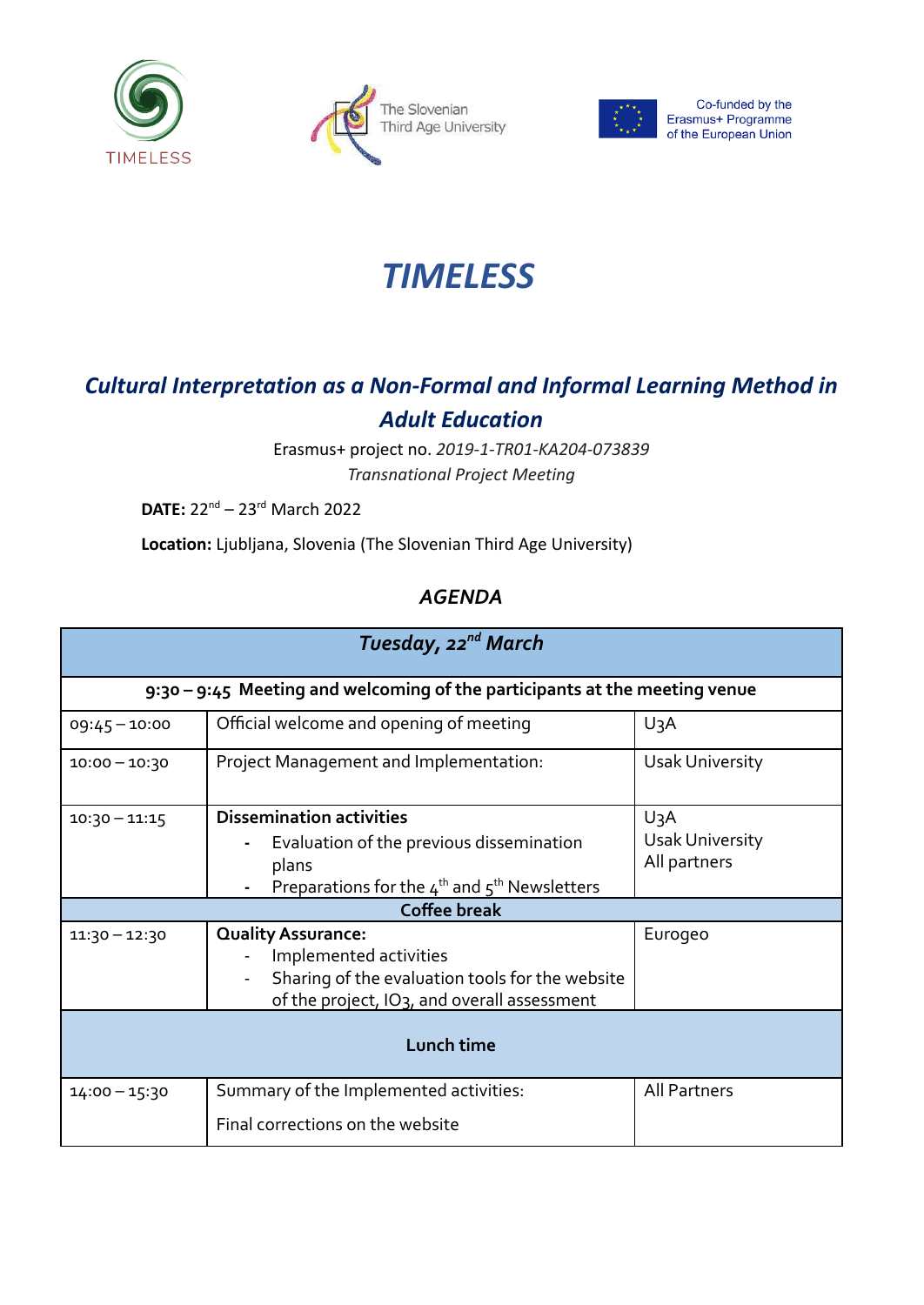





Co-funded by the Erasmus+ Programme<br>of the European Union

## *TIMELESS*

## *Cultural Interpretation as a Non-Formal and Informal Learning Method in Adult Education*

Erasmus+ project no. *2019-1-TR01-KA204-073839 Transnational Project Meeting*

**DATE:** 22nd – 23rd March 2022

**Location:** Ljubljana, Slovenia (The Slovenian Third Age University)

## *AGENDA*

| Tuesday, 22 <sup>nd</sup> March                                            |                                                                                                                                                                    |                                  |  |
|----------------------------------------------------------------------------|--------------------------------------------------------------------------------------------------------------------------------------------------------------------|----------------------------------|--|
| 9:30 – 9:45 Meeting and welcoming of the participants at the meeting venue |                                                                                                                                                                    |                                  |  |
| $09:45 - 10:00$                                                            | Official welcome and opening of meeting                                                                                                                            | $U_3A$                           |  |
| $10:00 - 10:30$                                                            | Project Management and Implementation:                                                                                                                             | <b>Usak University</b>           |  |
| $10:30 - 11:15$                                                            | <b>Dissemination activities</b><br>Evaluation of the previous dissemination                                                                                        | $U_3A$<br><b>Usak University</b> |  |
|                                                                            | plans<br>Preparations for the $4^{th}$ and $5^{th}$ Newsletters                                                                                                    | All partners                     |  |
| <b>Coffee break</b>                                                        |                                                                                                                                                                    |                                  |  |
| $11:30 - 12:30$                                                            | <b>Quality Assurance:</b><br>Implemented activities<br>Sharing of the evaluation tools for the website<br>of the project, IO <sub>3</sub> , and overall assessment | Eurogeo                          |  |
| Lunch time                                                                 |                                                                                                                                                                    |                                  |  |
| $14:00 - 15:30$                                                            | Summary of the Implemented activities:                                                                                                                             | <b>All Partners</b>              |  |
|                                                                            | Final corrections on the website                                                                                                                                   |                                  |  |